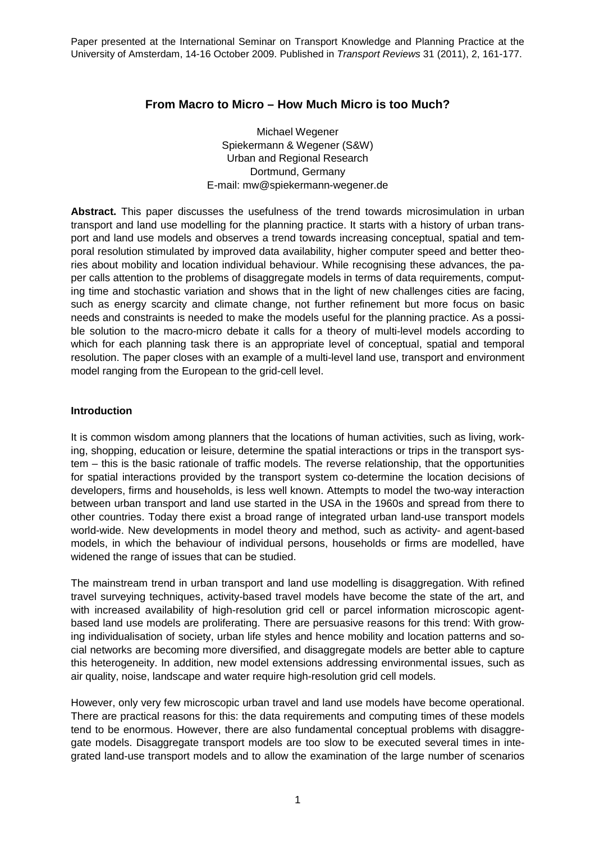Paper presented at the International Seminar on Transport Knowledge and Planning Practice at the University of Amsterdam, 14-16 October 2009. Published in Transport Reviews 31 (2011), 2, 161-177.

# **From Macro to Micro – How Much Micro is too Much?**

Michael Wegener Spiekermann & Wegener (S&W) Urban and Regional Research Dortmund, Germany E-mail: mw@spiekermann-wegener.de

**Abstract.** This paper discusses the usefulness of the trend towards microsimulation in urban transport and land use modelling for the planning practice. It starts with a history of urban transport and land use models and observes a trend towards increasing conceptual, spatial and temporal resolution stimulated by improved data availability, higher computer speed and better theories about mobility and location individual behaviour. While recognising these advances, the paper calls attention to the problems of disaggregate models in terms of data requirements, computing time and stochastic variation and shows that in the light of new challenges cities are facing, such as energy scarcity and climate change, not further refinement but more focus on basic needs and constraints is needed to make the models useful for the planning practice. As a possible solution to the macro-micro debate it calls for a theory of multi-level models according to which for each planning task there is an appropriate level of conceptual, spatial and temporal resolution. The paper closes with an example of a multi-level land use, transport and environment model ranging from the European to the grid-cell level.

### **Introduction**

It is common wisdom among planners that the locations of human activities, such as living, working, shopping, education or leisure, determine the spatial interactions or trips in the transport system – this is the basic rationale of traffic models. The reverse relationship, that the opportunities for spatial interactions provided by the transport system co-determine the location decisions of developers, firms and households, is less well known. Attempts to model the two-way interaction between urban transport and land use started in the USA in the 1960s and spread from there to other countries. Today there exist a broad range of integrated urban land-use transport models world-wide. New developments in model theory and method, such as activity- and agent-based models, in which the behaviour of individual persons, households or firms are modelled, have widened the range of issues that can be studied.

The mainstream trend in urban transport and land use modelling is disaggregation. With refined travel surveying techniques, activity-based travel models have become the state of the art, and with increased availability of high-resolution grid cell or parcel information microscopic agentbased land use models are proliferating. There are persuasive reasons for this trend: With growing individualisation of society, urban life styles and hence mobility and location patterns and social networks are becoming more diversified, and disaggregate models are better able to capture this heterogeneity. In addition, new model extensions addressing environmental issues, such as air quality, noise, landscape and water require high-resolution grid cell models.

However, only very few microscopic urban travel and land use models have become operational. There are practical reasons for this: the data requirements and computing times of these models tend to be enormous. However, there are also fundamental conceptual problems with disaggregate models. Disaggregate transport models are too slow to be executed several times in integrated land-use transport models and to allow the examination of the large number of scenarios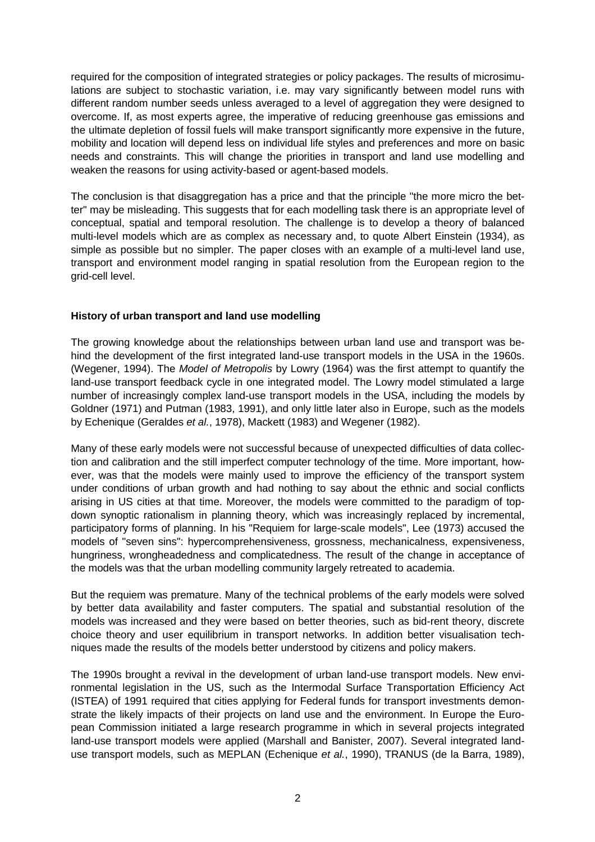required for the composition of integrated strategies or policy packages. The results of microsimulations are subject to stochastic variation, i.e. may vary significantly between model runs with different random number seeds unless averaged to a level of aggregation they were designed to overcome. If, as most experts agree, the imperative of reducing greenhouse gas emissions and the ultimate depletion of fossil fuels will make transport significantly more expensive in the future, mobility and location will depend less on individual life styles and preferences and more on basic needs and constraints. This will change the priorities in transport and land use modelling and weaken the reasons for using activity-based or agent-based models.

The conclusion is that disaggregation has a price and that the principle "the more micro the better" may be misleading. This suggests that for each modelling task there is an appropriate level of conceptual, spatial and temporal resolution. The challenge is to develop a theory of balanced multi-level models which are as complex as necessary and, to quote Albert Einstein (1934), as simple as possible but no simpler. The paper closes with an example of a multi-level land use, transport and environment model ranging in spatial resolution from the European region to the grid-cell level.

### **History of urban transport and land use modelling**

The growing knowledge about the relationships between urban land use and transport was behind the development of the first integrated land-use transport models in the USA in the 1960s. (Wegener, 1994). The Model of Metropolis by Lowry (1964) was the first attempt to quantify the land-use transport feedback cycle in one integrated model. The Lowry model stimulated a large number of increasingly complex land-use transport models in the USA, including the models by Goldner (1971) and Putman (1983, 1991), and only little later also in Europe, such as the models by Echenique (Geraldes et al., 1978), Mackett (1983) and Wegener (1982).

Many of these early models were not successful because of unexpected difficulties of data collection and calibration and the still imperfect computer technology of the time. More important, however, was that the models were mainly used to improve the efficiency of the transport system under conditions of urban growth and had nothing to say about the ethnic and social conflicts arising in US cities at that time. Moreover, the models were committed to the paradigm of topdown synoptic rationalism in planning theory, which was increasingly replaced by incremental, participatory forms of planning. In his "Requiem for large-scale models", Lee (1973) accused the models of "seven sins": hypercomprehensiveness, grossness, mechanicalness, expensiveness, hungriness, wrongheadedness and complicatedness. The result of the change in acceptance of the models was that the urban modelling community largely retreated to academia.

But the requiem was premature. Many of the technical problems of the early models were solved by better data availability and faster computers. The spatial and substantial resolution of the models was increased and they were based on better theories, such as bid-rent theory, discrete choice theory and user equilibrium in transport networks. In addition better visualisation techniques made the results of the models better understood by citizens and policy makers.

The 1990s brought a revival in the development of urban land-use transport models. New environmental legislation in the US, such as the Intermodal Surface Transportation Efficiency Act (ISTEA) of 1991 required that cities applying for Federal funds for transport investments demonstrate the likely impacts of their projects on land use and the environment. In Europe the European Commission initiated a large research programme in which in several projects integrated land-use transport models were applied (Marshall and Banister, 2007). Several integrated landuse transport models, such as MEPLAN (Echenique et al., 1990), TRANUS (de la Barra, 1989),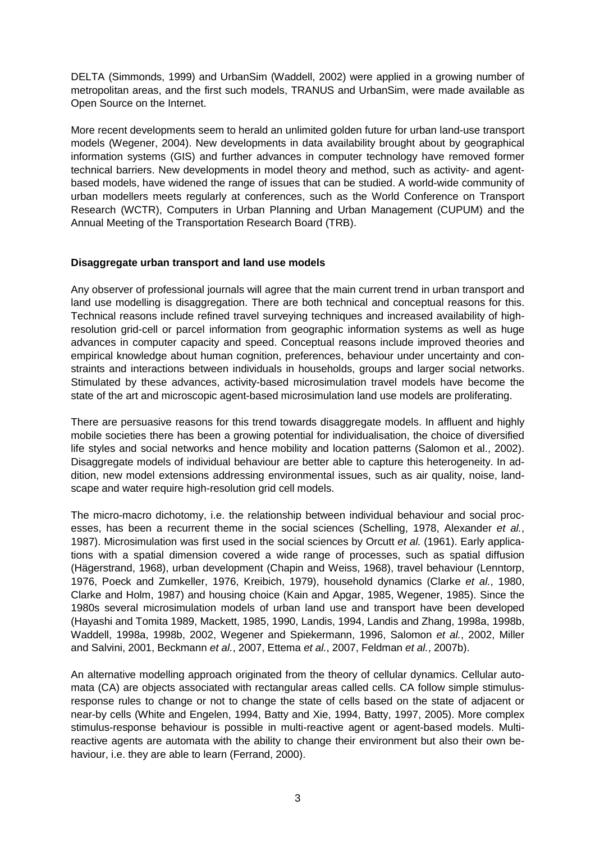DELTA (Simmonds, 1999) and UrbanSim (Waddell, 2002) were applied in a growing number of metropolitan areas, and the first such models, TRANUS and UrbanSim, were made available as Open Source on the Internet.

More recent developments seem to herald an unlimited golden future for urban land-use transport models (Wegener, 2004). New developments in data availability brought about by geographical information systems (GIS) and further advances in computer technology have removed former technical barriers. New developments in model theory and method, such as activity- and agentbased models, have widened the range of issues that can be studied. A world-wide community of urban modellers meets regularly at conferences, such as the World Conference on Transport Research (WCTR), Computers in Urban Planning and Urban Management (CUPUM) and the Annual Meeting of the Transportation Research Board (TRB).

### **Disaggregate urban transport and land use models**

Any observer of professional journals will agree that the main current trend in urban transport and land use modelling is disaggregation. There are both technical and conceptual reasons for this. Technical reasons include refined travel surveying techniques and increased availability of highresolution grid-cell or parcel information from geographic information systems as well as huge advances in computer capacity and speed. Conceptual reasons include improved theories and empirical knowledge about human cognition, preferences, behaviour under uncertainty and constraints and interactions between individuals in households, groups and larger social networks. Stimulated by these advances, activity-based microsimulation travel models have become the state of the art and microscopic agent-based microsimulation land use models are proliferating.

There are persuasive reasons for this trend towards disaggregate models. In affluent and highly mobile societies there has been a growing potential for individualisation, the choice of diversified life styles and social networks and hence mobility and location patterns (Salomon et al., 2002). Disaggregate models of individual behaviour are better able to capture this heterogeneity. In addition, new model extensions addressing environmental issues, such as air quality, noise, landscape and water require high-resolution grid cell models.

The micro-macro dichotomy, i.e. the relationship between individual behaviour and social processes, has been a recurrent theme in the social sciences (Schelling, 1978, Alexander et al., 1987). Microsimulation was first used in the social sciences by Orcutt et al. (1961). Early applications with a spatial dimension covered a wide range of processes, such as spatial diffusion (Hägerstrand, 1968), urban development (Chapin and Weiss, 1968), travel behaviour (Lenntorp, 1976, Poeck and Zumkeller, 1976, Kreibich, 1979), household dynamics (Clarke et al., 1980, Clarke and Holm, 1987) and housing choice (Kain and Apgar, 1985, Wegener, 1985). Since the 1980s several microsimulation models of urban land use and transport have been developed (Hayashi and Tomita 1989, Mackett, 1985, 1990, Landis, 1994, Landis and Zhang, 1998a, 1998b, Waddell, 1998a, 1998b, 2002, Wegener and Spiekermann, 1996, Salomon et al., 2002, Miller and Salvini, 2001, Beckmann et al., 2007, Ettema et al., 2007, Feldman et al., 2007b).

An alternative modelling approach originated from the theory of cellular dynamics. Cellular automata (CA) are objects associated with rectangular areas called cells. CA follow simple stimulusresponse rules to change or not to change the state of cells based on the state of adjacent or near-by cells (White and Engelen, 1994, Batty and Xie, 1994, Batty, 1997, 2005). More complex stimulus-response behaviour is possible in multi-reactive agent or agent-based models. Multireactive agents are automata with the ability to change their environment but also their own behaviour, i.e. they are able to learn (Ferrand, 2000).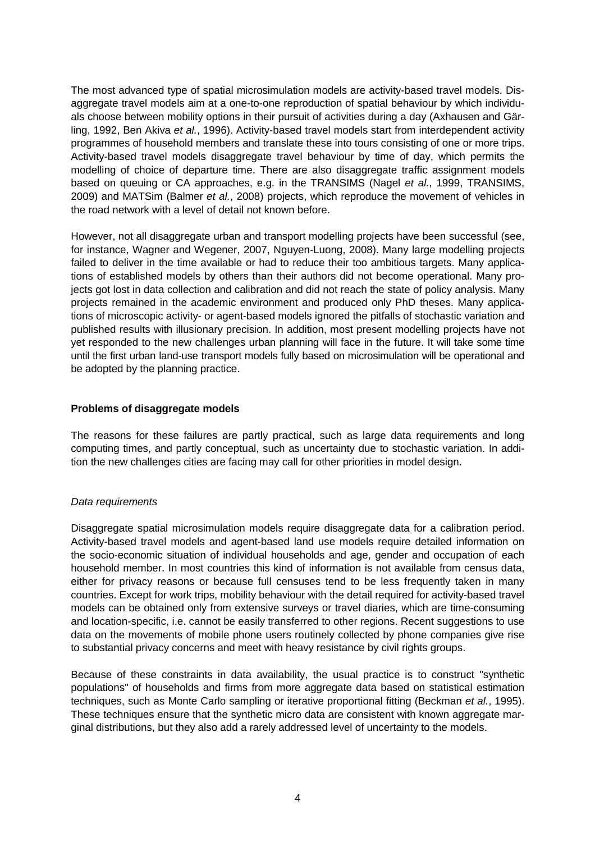The most advanced type of spatial microsimulation models are activity-based travel models. Disaggregate travel models aim at a one-to-one reproduction of spatial behaviour by which individuals choose between mobility options in their pursuit of activities during a day (Axhausen and Gärling, 1992, Ben Akiva et al., 1996). Activity-based travel models start from interdependent activity programmes of household members and translate these into tours consisting of one or more trips. Activity-based travel models disaggregate travel behaviour by time of day, which permits the modelling of choice of departure time. There are also disaggregate traffic assignment models based on queuing or CA approaches, e.g. in the TRANSIMS (Nagel et al., 1999, TRANSIMS, 2009) and MATSim (Balmer et al., 2008) projects, which reproduce the movement of vehicles in the road network with a level of detail not known before.

However, not all disaggregate urban and transport modelling projects have been successful (see, for instance, Wagner and Wegener, 2007, Nguyen-Luong, 2008). Many large modelling projects failed to deliver in the time available or had to reduce their too ambitious targets. Many applications of established models by others than their authors did not become operational. Many projects got lost in data collection and calibration and did not reach the state of policy analysis. Many projects remained in the academic environment and produced only PhD theses. Many applications of microscopic activity- or agent-based models ignored the pitfalls of stochastic variation and published results with illusionary precision. In addition, most present modelling projects have not yet responded to the new challenges urban planning will face in the future. It will take some time until the first urban land-use transport models fully based on microsimulation will be operational and be adopted by the planning practice.

### **Problems of disaggregate models**

The reasons for these failures are partly practical, such as large data requirements and long computing times, and partly conceptual, such as uncertainty due to stochastic variation. In addition the new challenges cities are facing may call for other priorities in model design.

## Data requirements

Disaggregate spatial microsimulation models require disaggregate data for a calibration period. Activity-based travel models and agent-based land use models require detailed information on the socio-economic situation of individual households and age, gender and occupation of each household member. In most countries this kind of information is not available from census data, either for privacy reasons or because full censuses tend to be less frequently taken in many countries. Except for work trips, mobility behaviour with the detail required for activity-based travel models can be obtained only from extensive surveys or travel diaries, which are time-consuming and location-specific, i.e. cannot be easily transferred to other regions. Recent suggestions to use data on the movements of mobile phone users routinely collected by phone companies give rise to substantial privacy concerns and meet with heavy resistance by civil rights groups.

Because of these constraints in data availability, the usual practice is to construct "synthetic populations" of households and firms from more aggregate data based on statistical estimation techniques, such as Monte Carlo sampling or iterative proportional fitting (Beckman et al., 1995). These techniques ensure that the synthetic micro data are consistent with known aggregate marginal distributions, but they also add a rarely addressed level of uncertainty to the models.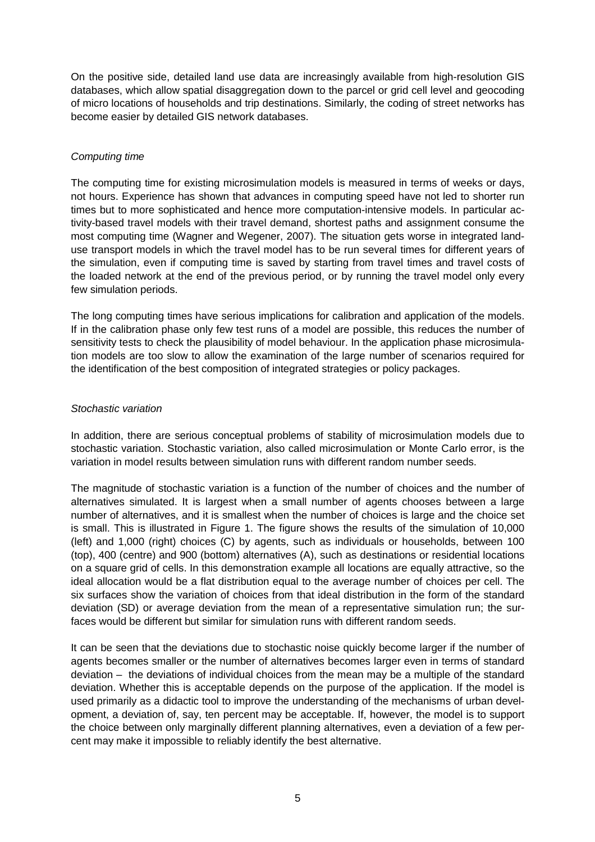On the positive side, detailed land use data are increasingly available from high-resolution GIS databases, which allow spatial disaggregation down to the parcel or grid cell level and geocoding of micro locations of households and trip destinations. Similarly, the coding of street networks has become easier by detailed GIS network databases.

# Computing time

The computing time for existing microsimulation models is measured in terms of weeks or days, not hours. Experience has shown that advances in computing speed have not led to shorter run times but to more sophisticated and hence more computation-intensive models. In particular activity-based travel models with their travel demand, shortest paths and assignment consume the most computing time (Wagner and Wegener, 2007). The situation gets worse in integrated landuse transport models in which the travel model has to be run several times for different years of the simulation, even if computing time is saved by starting from travel times and travel costs of the loaded network at the end of the previous period, or by running the travel model only every few simulation periods.

The long computing times have serious implications for calibration and application of the models. If in the calibration phase only few test runs of a model are possible, this reduces the number of sensitivity tests to check the plausibility of model behaviour. In the application phase microsimulation models are too slow to allow the examination of the large number of scenarios required for the identification of the best composition of integrated strategies or policy packages.

## Stochastic variation

In addition, there are serious conceptual problems of stability of microsimulation models due to stochastic variation. Stochastic variation, also called microsimulation or Monte Carlo error, is the variation in model results between simulation runs with different random number seeds.

The magnitude of stochastic variation is a function of the number of choices and the number of alternatives simulated. It is largest when a small number of agents chooses between a large number of alternatives, and it is smallest when the number of choices is large and the choice set is small. This is illustrated in Figure 1. The figure shows the results of the simulation of 10,000 (left) and 1,000 (right) choices (C) by agents, such as individuals or households, between 100 (top), 400 (centre) and 900 (bottom) alternatives (A), such as destinations or residential locations on a square grid of cells. In this demonstration example all locations are equally attractive, so the ideal allocation would be a flat distribution equal to the average number of choices per cell. The six surfaces show the variation of choices from that ideal distribution in the form of the standard deviation (SD) or average deviation from the mean of a representative simulation run; the surfaces would be different but similar for simulation runs with different random seeds.

It can be seen that the deviations due to stochastic noise quickly become larger if the number of agents becomes smaller or the number of alternatives becomes larger even in terms of standard deviation – the deviations of individual choices from the mean may be a multiple of the standard deviation. Whether this is acceptable depends on the purpose of the application. If the model is used primarily as a didactic tool to improve the understanding of the mechanisms of urban development, a deviation of, say, ten percent may be acceptable. If, however, the model is to support the choice between only marginally different planning alternatives, even a deviation of a few percent may make it impossible to reliably identify the best alternative.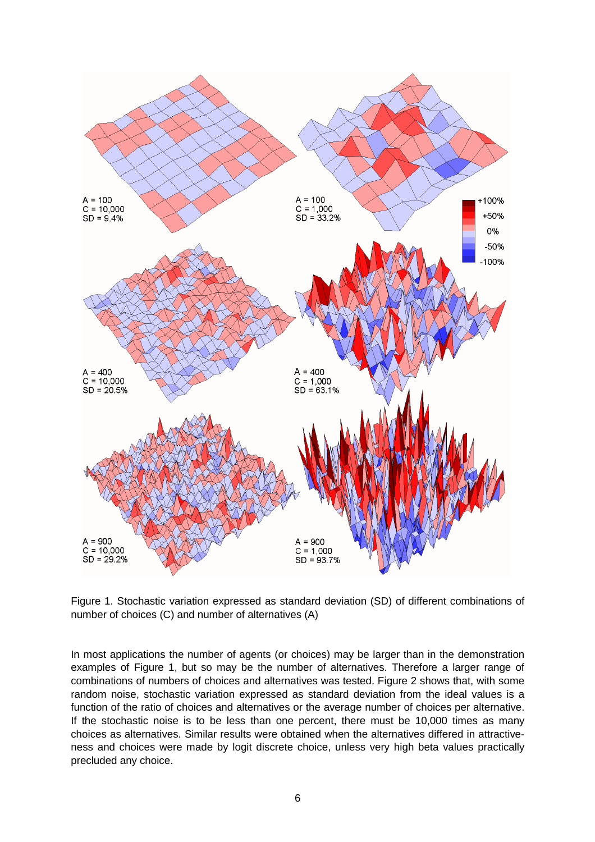

Figure 1. Stochastic variation expressed as standard deviation (SD) of different combinations of number of choices (C) and number of alternatives (A)

In most applications the number of agents (or choices) may be larger than in the demonstration examples of Figure 1, but so may be the number of alternatives. Therefore a larger range of combinations of numbers of choices and alternatives was tested. Figure 2 shows that, with some random noise, stochastic variation expressed as standard deviation from the ideal values is a function of the ratio of choices and alternatives or the average number of choices per alternative. If the stochastic noise is to be less than one percent, there must be 10,000 times as many choices as alternatives. Similar results were obtained when the alternatives differed in attractiveness and choices were made by logit discrete choice, unless very high beta values practically precluded any choice.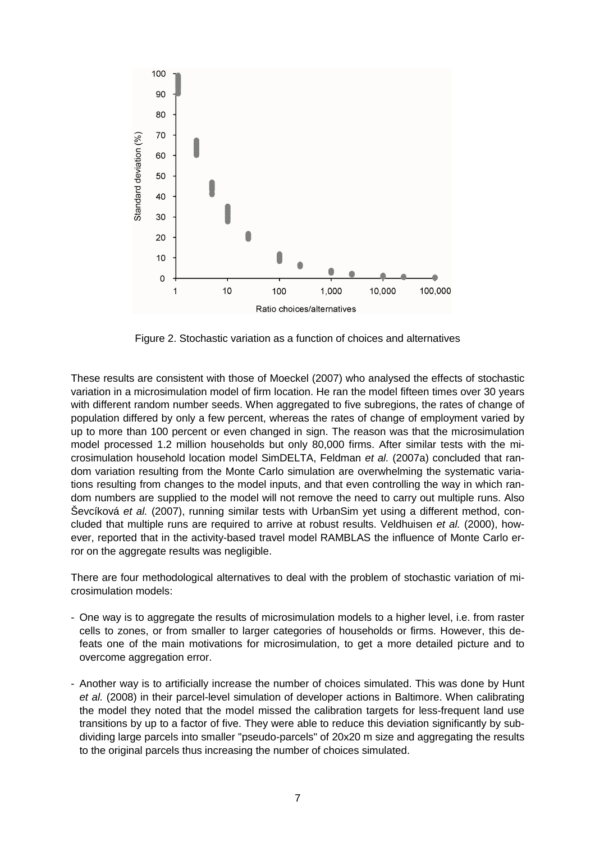

Figure 2. Stochastic variation as a function of choices and alternatives

These results are consistent with those of Moeckel (2007) who analysed the effects of stochastic variation in a microsimulation model of firm location. He ran the model fifteen times over 30 years with different random number seeds. When aggregated to five subregions, the rates of change of population differed by only a few percent, whereas the rates of change of employment varied by up to more than 100 percent or even changed in sign. The reason was that the microsimulation model processed 1.2 million households but only 80,000 firms. After similar tests with the microsimulation household location model SimDELTA, Feldman et al. (2007a) concluded that random variation resulting from the Monte Carlo simulation are overwhelming the systematic variations resulting from changes to the model inputs, and that even controlling the way in which random numbers are supplied to the model will not remove the need to carry out multiple runs. Also Ševcíková et al. (2007), running similar tests with UrbanSim yet using a different method, concluded that multiple runs are required to arrive at robust results. Veldhuisen et al. (2000), however, reported that in the activity-based travel model RAMBLAS the influence of Monte Carlo error on the aggregate results was negligible.

There are four methodological alternatives to deal with the problem of stochastic variation of microsimulation models:

- One way is to aggregate the results of microsimulation models to a higher level, i.e. from raster cells to zones, or from smaller to larger categories of households or firms. However, this defeats one of the main motivations for microsimulation, to get a more detailed picture and to overcome aggregation error.
- Another way is to artificially increase the number of choices simulated. This was done by Hunt et al. (2008) in their parcel-level simulation of developer actions in Baltimore. When calibrating the model they noted that the model missed the calibration targets for less-frequent land use transitions by up to a factor of five. They were able to reduce this deviation significantly by subdividing large parcels into smaller "pseudo-parcels" of 20x20 m size and aggregating the results to the original parcels thus increasing the number of choices simulated.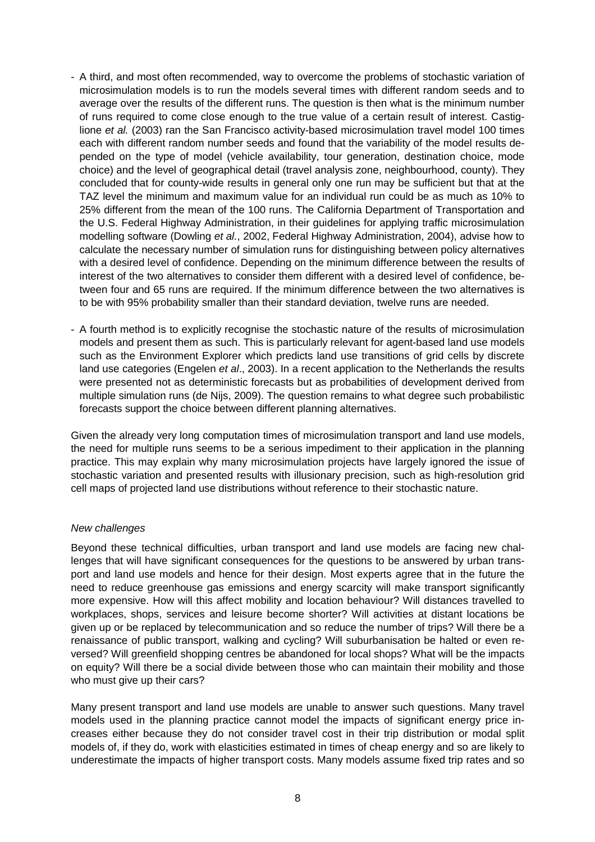- A third, and most often recommended, way to overcome the problems of stochastic variation of microsimulation models is to run the models several times with different random seeds and to average over the results of the different runs. The question is then what is the minimum number of runs required to come close enough to the true value of a certain result of interest. Castiglione et al. (2003) ran the San Francisco activity-based microsimulation travel model 100 times each with different random number seeds and found that the variability of the model results depended on the type of model (vehicle availability, tour generation, destination choice, mode choice) and the level of geographical detail (travel analysis zone, neighbourhood, county). They concluded that for county-wide results in general only one run may be sufficient but that at the TAZ level the minimum and maximum value for an individual run could be as much as 10% to 25% different from the mean of the 100 runs. The California Department of Transportation and the U.S. Federal Highway Administration, in their guidelines for applying traffic microsimulation modelling software (Dowling et al., 2002, Federal Highway Administration, 2004), advise how to calculate the necessary number of simulation runs for distinguishing between policy alternatives with a desired level of confidence. Depending on the minimum difference between the results of interest of the two alternatives to consider them different with a desired level of confidence, between four and 65 runs are required. If the minimum difference between the two alternatives is to be with 95% probability smaller than their standard deviation, twelve runs are needed.
- A fourth method is to explicitly recognise the stochastic nature of the results of microsimulation models and present them as such. This is particularly relevant for agent-based land use models such as the Environment Explorer which predicts land use transitions of grid cells by discrete land use categories (Engelen et al., 2003). In a recent application to the Netherlands the results were presented not as deterministic forecasts but as probabilities of development derived from multiple simulation runs (de Nijs, 2009). The question remains to what degree such probabilistic forecasts support the choice between different planning alternatives.

Given the already very long computation times of microsimulation transport and land use models, the need for multiple runs seems to be a serious impediment to their application in the planning practice. This may explain why many microsimulation projects have largely ignored the issue of stochastic variation and presented results with illusionary precision, such as high-resolution grid cell maps of projected land use distributions without reference to their stochastic nature.

#### New challenges

Beyond these technical difficulties, urban transport and land use models are facing new challenges that will have significant consequences for the questions to be answered by urban transport and land use models and hence for their design. Most experts agree that in the future the need to reduce greenhouse gas emissions and energy scarcity will make transport significantly more expensive. How will this affect mobility and location behaviour? Will distances travelled to workplaces, shops, services and leisure become shorter? Will activities at distant locations be given up or be replaced by telecommunication and so reduce the number of trips? Will there be a renaissance of public transport, walking and cycling? Will suburbanisation be halted or even reversed? Will greenfield shopping centres be abandoned for local shops? What will be the impacts on equity? Will there be a social divide between those who can maintain their mobility and those who must give up their cars?

Many present transport and land use models are unable to answer such questions. Many travel models used in the planning practice cannot model the impacts of significant energy price increases either because they do not consider travel cost in their trip distribution or modal split models of, if they do, work with elasticities estimated in times of cheap energy and so are likely to underestimate the impacts of higher transport costs. Many models assume fixed trip rates and so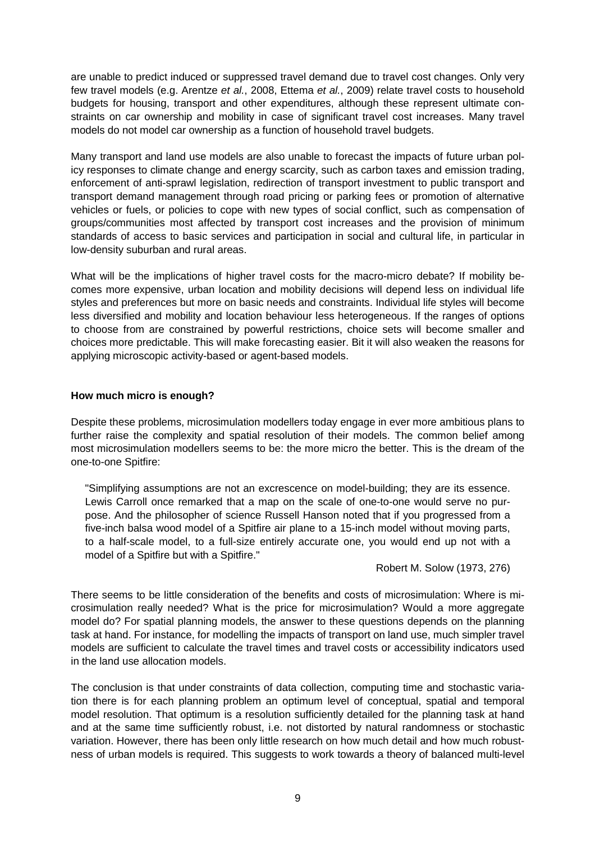are unable to predict induced or suppressed travel demand due to travel cost changes. Only very few travel models (e.g. Arentze et al., 2008, Ettema et al., 2009) relate travel costs to household budgets for housing, transport and other expenditures, although these represent ultimate constraints on car ownership and mobility in case of significant travel cost increases. Many travel models do not model car ownership as a function of household travel budgets.

Many transport and land use models are also unable to forecast the impacts of future urban policy responses to climate change and energy scarcity, such as carbon taxes and emission trading, enforcement of anti-sprawl legislation, redirection of transport investment to public transport and transport demand management through road pricing or parking fees or promotion of alternative vehicles or fuels, or policies to cope with new types of social conflict, such as compensation of groups/communities most affected by transport cost increases and the provision of minimum standards of access to basic services and participation in social and cultural life, in particular in low-density suburban and rural areas.

What will be the implications of higher travel costs for the macro-micro debate? If mobility becomes more expensive, urban location and mobility decisions will depend less on individual life styles and preferences but more on basic needs and constraints. Individual life styles will become less diversified and mobility and location behaviour less heterogeneous. If the ranges of options to choose from are constrained by powerful restrictions, choice sets will become smaller and choices more predictable. This will make forecasting easier. Bit it will also weaken the reasons for applying microscopic activity-based or agent-based models.

### **How much micro is enough?**

Despite these problems, microsimulation modellers today engage in ever more ambitious plans to further raise the complexity and spatial resolution of their models. The common belief among most microsimulation modellers seems to be: the more micro the better. This is the dream of the one-to-one Spitfire:

"Simplifying assumptions are not an excrescence on model-building; they are its essence. Lewis Carroll once remarked that a map on the scale of one-to-one would serve no purpose. And the philosopher of science Russell Hanson noted that if you progressed from a five-inch balsa wood model of a Spitfire air plane to a 15-inch model without moving parts, to a half-scale model, to a full-size entirely accurate one, you would end up not with a model of a Spitfire but with a Spitfire."

Robert M. Solow (1973, 276)

There seems to be little consideration of the benefits and costs of microsimulation: Where is microsimulation really needed? What is the price for microsimulation? Would a more aggregate model do? For spatial planning models, the answer to these questions depends on the planning task at hand. For instance, for modelling the impacts of transport on land use, much simpler travel models are sufficient to calculate the travel times and travel costs or accessibility indicators used in the land use allocation models.

The conclusion is that under constraints of data collection, computing time and stochastic variation there is for each planning problem an optimum level of conceptual, spatial and temporal model resolution. That optimum is a resolution sufficiently detailed for the planning task at hand and at the same time sufficiently robust, i.e. not distorted by natural randomness or stochastic variation. However, there has been only little research on how much detail and how much robustness of urban models is required. This suggests to work towards a theory of balanced multi-level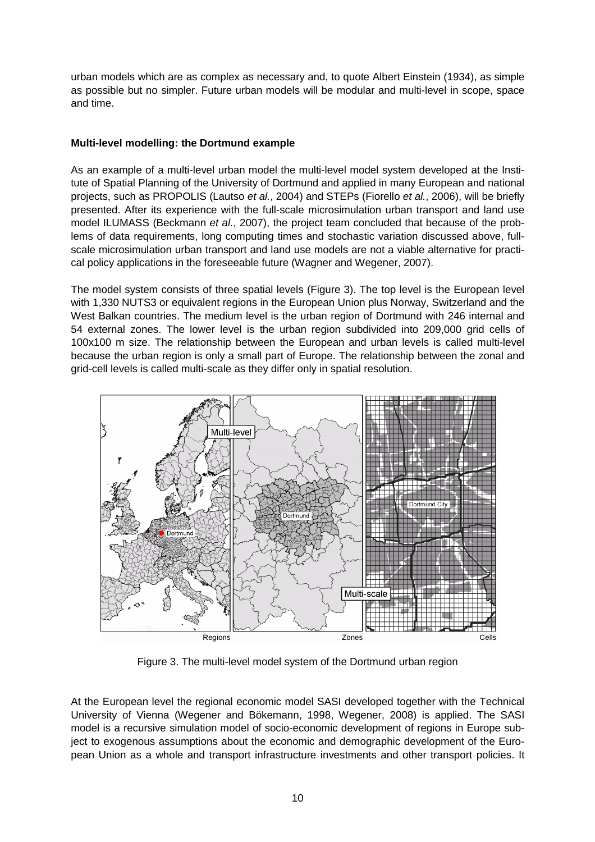urban models which are as complex as necessary and, to quote Albert Einstein (1934), as simple as possible but no simpler. Future urban models will be modular and multi-level in scope, space and time.

# **Multi-level modelling: the Dortmund example**

As an example of a multi-level urban model the multi-level model system developed at the Institute of Spatial Planning of the University of Dortmund and applied in many European and national projects, such as PROPOLIS (Lautso et al., 2004) and STEPs (Fiorello et al., 2006), will be briefly presented. After its experience with the full-scale microsimulation urban transport and land use model ILUMASS (Beckmann et al., 2007), the project team concluded that because of the problems of data requirements, long computing times and stochastic variation discussed above, fullscale microsimulation urban transport and land use models are not a viable alternative for practical policy applications in the foreseeable future (Wagner and Wegener, 2007).

The model system consists of three spatial levels (Figure 3). The top level is the European level with 1,330 NUTS3 or equivalent regions in the European Union plus Norway, Switzerland and the West Balkan countries. The medium level is the urban region of Dortmund with 246 internal and 54 external zones. The lower level is the urban region subdivided into 209,000 grid cells of 100x100 m size. The relationship between the European and urban levels is called multi-level because the urban region is only a small part of Europe. The relationship between the zonal and grid-cell levels is called multi-scale as they differ only in spatial resolution.



Figure 3. The multi-level model system of the Dortmund urban region

At the European level the regional economic model SASI developed together with the Technical University of Vienna (Wegener and Bökemann, 1998, Wegener, 2008) is applied. The SASI model is a recursive simulation model of socio-economic development of regions in Europe subject to exogenous assumptions about the economic and demographic development of the European Union as a whole and transport infrastructure investments and other transport policies. It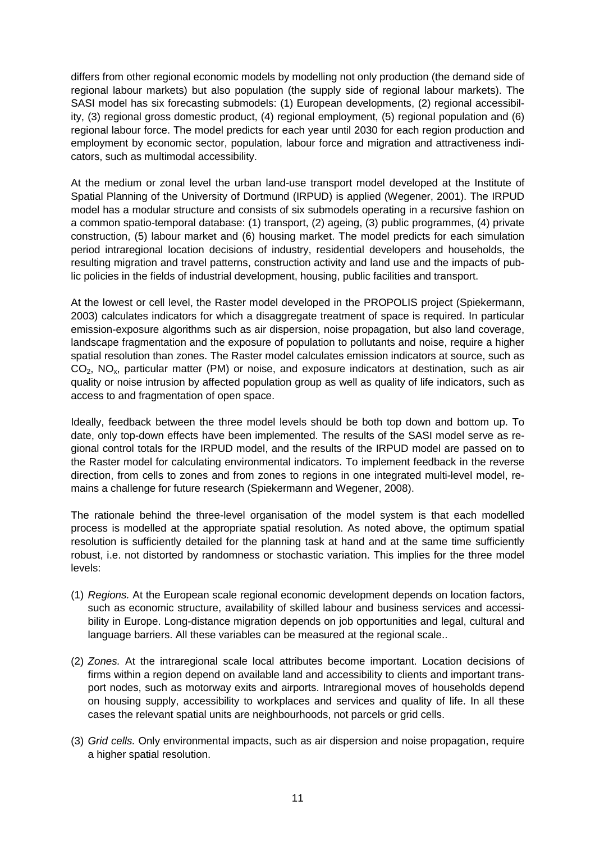differs from other regional economic models by modelling not only production (the demand side of regional labour markets) but also population (the supply side of regional labour markets). The SASI model has six forecasting submodels: (1) European developments, (2) regional accessibility, (3) regional gross domestic product, (4) regional employment, (5) regional population and (6) regional labour force. The model predicts for each year until 2030 for each region production and employment by economic sector, population, labour force and migration and attractiveness indicators, such as multimodal accessibility.

At the medium or zonal level the urban land-use transport model developed at the Institute of Spatial Planning of the University of Dortmund (IRPUD) is applied (Wegener, 2001). The IRPUD model has a modular structure and consists of six submodels operating in a recursive fashion on a common spatio-temporal database: (1) transport, (2) ageing, (3) public programmes, (4) private construction, (5) labour market and (6) housing market. The model predicts for each simulation period intraregional location decisions of industry, residential developers and households, the resulting migration and travel patterns, construction activity and land use and the impacts of public policies in the fields of industrial development, housing, public facilities and transport.

At the lowest or cell level, the Raster model developed in the PROPOLIS project (Spiekermann, 2003) calculates indicators for which a disaggregate treatment of space is required. In particular emission-exposure algorithms such as air dispersion, noise propagation, but also land coverage, landscape fragmentation and the exposure of population to pollutants and noise, require a higher spatial resolution than zones. The Raster model calculates emission indicators at source, such as  $CO<sub>2</sub>$ , NO<sub>x</sub>, particular matter (PM) or noise, and exposure indicators at destination, such as air quality or noise intrusion by affected population group as well as quality of life indicators, such as access to and fragmentation of open space.

Ideally, feedback between the three model levels should be both top down and bottom up. To date, only top-down effects have been implemented. The results of the SASI model serve as regional control totals for the IRPUD model, and the results of the IRPUD model are passed on to the Raster model for calculating environmental indicators. To implement feedback in the reverse direction, from cells to zones and from zones to regions in one integrated multi-level model, remains a challenge for future research (Spiekermann and Wegener, 2008).

The rationale behind the three-level organisation of the model system is that each modelled process is modelled at the appropriate spatial resolution. As noted above, the optimum spatial resolution is sufficiently detailed for the planning task at hand and at the same time sufficiently robust, i.e. not distorted by randomness or stochastic variation. This implies for the three model levels:

- (1) Regions. At the European scale regional economic development depends on location factors, such as economic structure, availability of skilled labour and business services and accessibility in Europe. Long-distance migration depends on job opportunities and legal, cultural and language barriers. All these variables can be measured at the regional scale..
- (2) Zones. At the intraregional scale local attributes become important. Location decisions of firms within a region depend on available land and accessibility to clients and important transport nodes, such as motorway exits and airports. Intraregional moves of households depend on housing supply, accessibility to workplaces and services and quality of life. In all these cases the relevant spatial units are neighbourhoods, not parcels or grid cells.
- (3) Grid cells. Only environmental impacts, such as air dispersion and noise propagation, require a higher spatial resolution.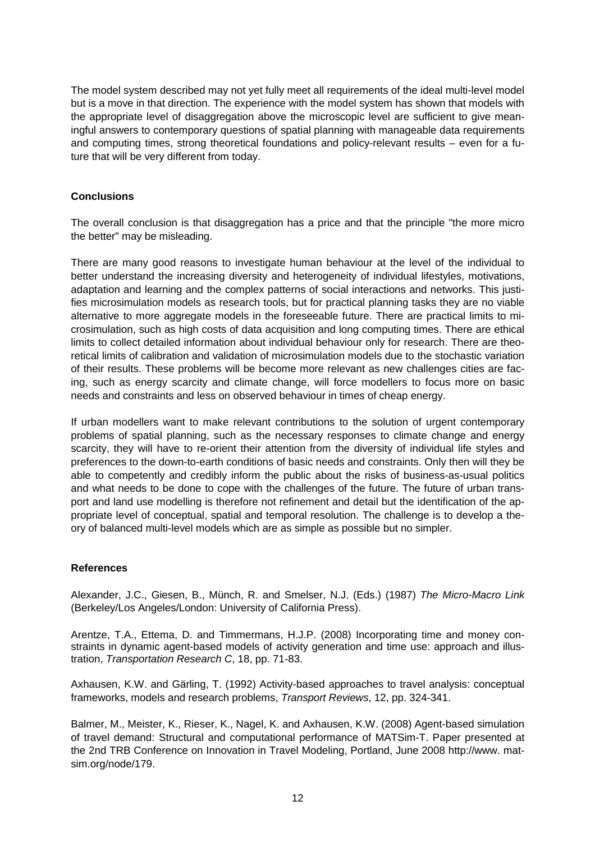The model system described may not yet fully meet all requirements of the ideal multi-level model but is a move in that direction. The experience with the model system has shown that models with the appropriate level of disaggregation above the microscopic level are sufficient to give meaningful answers to contemporary questions of spatial planning with manageable data requirements and computing times, strong theoretical foundations and policy-relevant results – even for a future that will be very different from today.

## **Conclusions**

The overall conclusion is that disaggregation has a price and that the principle "the more micro the better" may be misleading.

There are many good reasons to investigate human behaviour at the level of the individual to better understand the increasing diversity and heterogeneity of individual lifestyles, motivations, adaptation and learning and the complex patterns of social interactions and networks. This justifies microsimulation models as research tools, but for practical planning tasks they are no viable alternative to more aggregate models in the foreseeable future. There are practical limits to microsimulation, such as high costs of data acquisition and long computing times. There are ethical limits to collect detailed information about individual behaviour only for research. There are theoretical limits of calibration and validation of microsimulation models due to the stochastic variation of their results. These problems will be become more relevant as new challenges cities are facing, such as energy scarcity and climate change, will force modellers to focus more on basic needs and constraints and less on observed behaviour in times of cheap energy.

If urban modellers want to make relevant contributions to the solution of urgent contemporary problems of spatial planning, such as the necessary responses to climate change and energy scarcity, they will have to re-orient their attention from the diversity of individual life styles and preferences to the down-to-earth conditions of basic needs and constraints. Only then will they be able to competently and credibly inform the public about the risks of business-as-usual politics and what needs to be done to cope with the challenges of the future. The future of urban transport and land use modelling is therefore not refinement and detail but the identification of the appropriate level of conceptual, spatial and temporal resolution. The challenge is to develop a theory of balanced multi-level models which are as simple as possible but no simpler.

#### **References**

Alexander, J.C., Giesen, B., Münch, R. and Smelser, N.J. (Eds.) (1987) The Micro-Macro Link (Berkeley/Los Angeles/London: University of California Press).

Arentze, T.A., Ettema, D. and Timmermans, H.J.P. (2008) Incorporating time and money constraints in dynamic agent-based models of activity generation and time use: approach and illustration, Transportation Research C, 18, pp. 71-83.

Axhausen, K.W. and Gärling, T. (1992) Activity-based approaches to travel analysis: conceptual frameworks, models and research problems, Transport Reviews, 12, pp. 324-341.

Balmer, M., Meister, K., Rieser, K., Nagel, K. and Axhausen, K.W. (2008) Agent-based simulation of travel demand: Structural and computational performance of MATSim-T. Paper presented at the 2nd TRB Conference on Innovation in Travel Modeling, Portland, June 2008 http://www. matsim.org/node/179.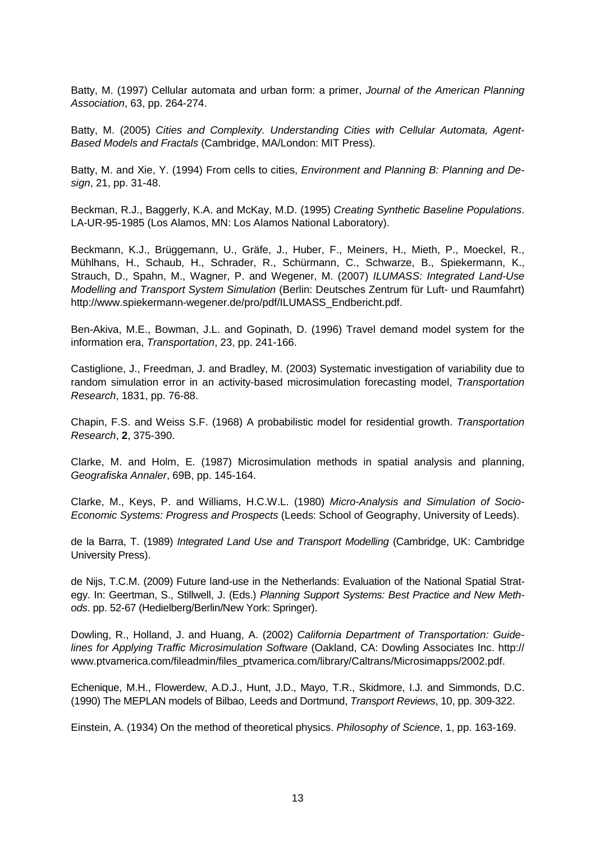Batty, M. (1997) Cellular automata and urban form: a primer, Journal of the American Planning Association, 63, pp. 264-274.

Batty, M. (2005) Cities and Complexity. Understanding Cities with Cellular Automata, Agent-Based Models and Fractals (Cambridge, MA/London: MIT Press).

Batty, M. and Xie, Y. (1994) From cells to cities, *Environment and Planning B: Planning and De*sign, 21, pp. 31-48.

Beckman, R.J., Baggerly, K.A. and McKay, M.D. (1995) Creating Synthetic Baseline Populations. LA-UR-95-1985 (Los Alamos, MN: Los Alamos National Laboratory).

Beckmann, K.J., Brüggemann, U., Gräfe, J., Huber, F., Meiners, H., Mieth, P., Moeckel, R., Mühlhans, H., Schaub, H., Schrader, R., Schürmann, C., Schwarze, B., Spiekermann, K., Strauch, D., Spahn, M., Wagner, P. and Wegener, M. (2007) ILUMASS: Integrated Land-Use Modelling and Transport System Simulation (Berlin: Deutsches Zentrum für Luft- und Raumfahrt) http://www.spiekermann-wegener.de/pro/pdf/ILUMASS\_Endbericht.pdf.

Ben-Akiva, M.E., Bowman, J.L. and Gopinath, D. (1996) Travel demand model system for the information era, Transportation, 23, pp. 241-166.

Castiglione, J., Freedman, J. and Bradley, M. (2003) Systematic investigation of variability due to random simulation error in an activity-based microsimulation forecasting model, Transportation Research, 1831, pp. 76-88.

Chapin, F.S. and Weiss S.F. (1968) A probabilistic model for residential growth. Transportation Research, **2**, 375-390.

Clarke, M. and Holm, E. (1987) Microsimulation methods in spatial analysis and planning, Geografiska Annaler, 69B, pp. 145-164.

Clarke, M., Keys, P. and Williams, H.C.W.L. (1980) Micro-Analysis and Simulation of Socio-Economic Systems: Progress and Prospects (Leeds: School of Geography, University of Leeds).

de la Barra, T. (1989) Integrated Land Use and Transport Modelling (Cambridge, UK: Cambridge University Press).

de Nijs, T.C.M. (2009) Future land-use in the Netherlands: Evaluation of the National Spatial Strategy. In: Geertman, S., Stillwell, J. (Eds.) Planning Support Systems: Best Practice and New Methods. pp. 52-67 (Hedielberg/Berlin/New York: Springer).

Dowling, R., Holland, J. and Huang, A. (2002) California Department of Transportation: Guidelines for Applying Traffic Microsimulation Software (Oakland, CA: Dowling Associates Inc. http:// www.ptvamerica.com/fileadmin/files\_ptvamerica.com/library/Caltrans/Microsimapps/2002.pdf.

Echenique, M.H., Flowerdew, A.D.J., Hunt, J.D., Mayo, T.R., Skidmore, I.J. and Simmonds, D.C. (1990) The MEPLAN models of Bilbao, Leeds and Dortmund, Transport Reviews, 10, pp. 309-322.

Einstein, A. (1934) On the method of theoretical physics. Philosophy of Science, 1, pp. 163-169.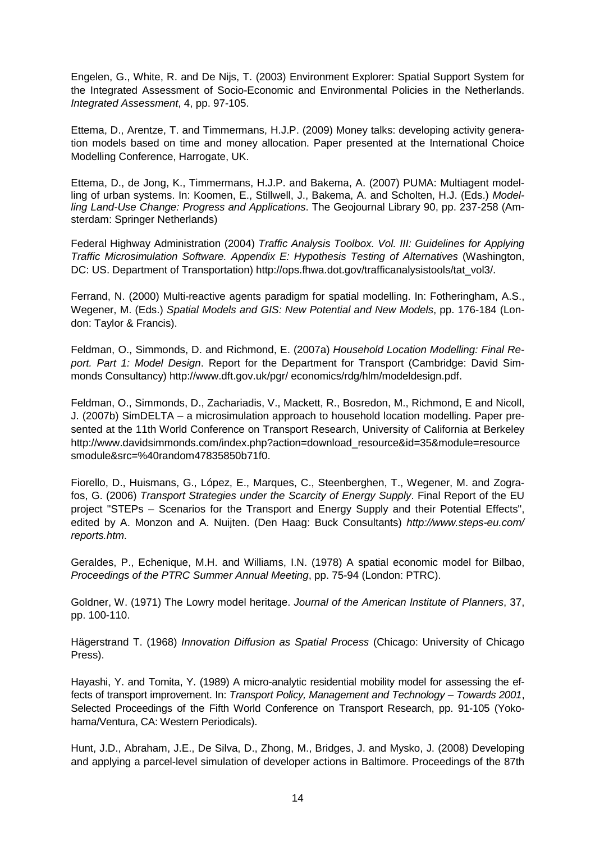Engelen, G., White, R. and De Nijs, T. (2003) Environment Explorer: Spatial Support System for the Integrated Assessment of Socio-Economic and Environmental Policies in the Netherlands. Integrated Assessment, 4, pp. 97-105.

Ettema, D., Arentze, T. and Timmermans, H.J.P. (2009) Money talks: developing activity generation models based on time and money allocation. Paper presented at the International Choice Modelling Conference, Harrogate, UK.

Ettema, D., de Jong, K., Timmermans, H.J.P. and Bakema, A. (2007) PUMA: Multiagent modelling of urban systems. In: Koomen, E., Stillwell, J., Bakema, A. and Scholten, H.J. (Eds.) Modelling Land-Use Change: Progress and Applications. The Geojournal Library 90, pp. 237-258 (Amsterdam: Springer Netherlands)

Federal Highway Administration (2004) Traffic Analysis Toolbox. Vol. III: Guidelines for Applying Traffic Microsimulation Software. Appendix E: Hypothesis Testing of Alternatives (Washington, DC: US. Department of Transportation) http://ops.fhwa.dot.gov/trafficanalysistools/tat\_vol3/.

Ferrand, N. (2000) Multi-reactive agents paradigm for spatial modelling. In: Fotheringham, A.S., Wegener, M. (Eds.) Spatial Models and GIS: New Potential and New Models, pp. 176-184 (London: Taylor & Francis).

Feldman, O., Simmonds, D. and Richmond, E. (2007a) Household Location Modelling: Final Report. Part 1: Model Design. Report for the Department for Transport (Cambridge: David Simmonds Consultancy) http://www.dft.gov.uk/pgr/ economics/rdg/hlm/modeldesign.pdf.

Feldman, O., Simmonds, D., Zachariadis, V., Mackett, R., Bosredon, M., Richmond, E and Nicoll, J. (2007b) SimDELTA – a microsimulation approach to household location modelling. Paper presented at the 11th World Conference on Transport Research, University of California at Berkeley http://www.davidsimmonds.com/index.php?action=download\_resource&id=35&module=resource smodule&src=%40random47835850b71f0.

Fiorello, D., Huismans, G., López, E., Marques, C., Steenberghen, T., Wegener, M. and Zografos, G. (2006) Transport Strategies under the Scarcity of Energy Supply. Final Report of the EU project "STEPs – Scenarios for the Transport and Energy Supply and their Potential Effects", edited by A. Monzon and A. Nuijten. (Den Haag: Buck Consultants) http://www.steps-eu.com/ reports.htm.

Geraldes, P., Echenique, M.H. and Williams, I.N. (1978) A spatial economic model for Bilbao, Proceedings of the PTRC Summer Annual Meeting, pp. 75-94 (London: PTRC).

Goldner, W. (1971) The Lowry model heritage. Journal of the American Institute of Planners, 37, pp. 100-110.

Hägerstrand T. (1968) Innovation Diffusion as Spatial Process (Chicago: University of Chicago Press).

Hayashi, Y. and Tomita, Y. (1989) A micro-analytic residential mobility model for assessing the effects of transport improvement. In: Transport Policy, Management and Technology – Towards 2001, Selected Proceedings of the Fifth World Conference on Transport Research, pp. 91-105 (Yokohama/Ventura, CA: Western Periodicals).

Hunt, J.D., Abraham, J.E., De Silva, D., Zhong, M., Bridges, J. and Mysko, J. (2008) Developing and applying a parcel-level simulation of developer actions in Baltimore. Proceedings of the 87th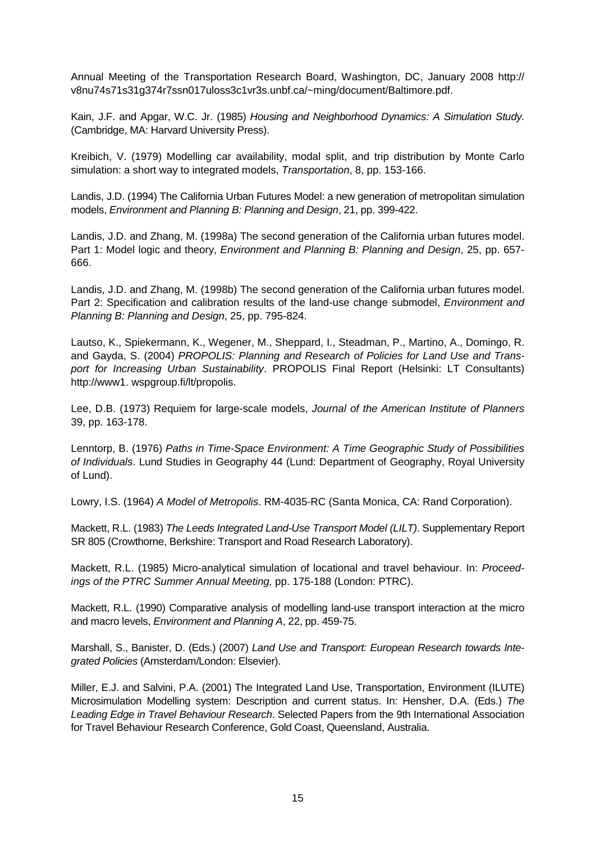Annual Meeting of the Transportation Research Board, Washington, DC, January 2008 http:// v8nu74s71s31g374r7ssn017uloss3c1vr3s.unbf.ca/~ming/document/Baltimore.pdf.

Kain, J.F. and Apgar, W.C. Jr. (1985) Housing and Neighborhood Dynamics: A Simulation Study. (Cambridge, MA: Harvard University Press).

Kreibich, V. (1979) Modelling car availability, modal split, and trip distribution by Monte Carlo simulation: a short way to integrated models, Transportation, 8, pp. 153-166.

Landis, J.D. (1994) The California Urban Futures Model: a new generation of metropolitan simulation models, Environment and Planning B: Planning and Design, 21, pp. 399-422.

Landis, J.D. and Zhang, M. (1998a) The second generation of the California urban futures model. Part 1: Model logic and theory, *Environment and Planning B: Planning and Design, 25, pp. 657-*666.

Landis, J.D. and Zhang, M. (1998b) The second generation of the California urban futures model. Part 2: Specification and calibration results of the land-use change submodel. *Environment and* Planning B: Planning and Design, 25, pp. 795-824.

Lautso, K., Spiekermann, K., Wegener, M., Sheppard, I., Steadman, P., Martino, A., Domingo, R. and Gayda, S. (2004) PROPOLIS: Planning and Research of Policies for Land Use and Transport for Increasing Urban Sustainability. PROPOLIS Final Report (Helsinki: LT Consultants) http://www1. wspgroup.fi/lt/propolis.

Lee, D.B. (1973) Requiem for large-scale models, Journal of the American Institute of Planners 39, pp. 163-178.

Lenntorp, B. (1976) Paths in Time-Space Environment: A Time Geographic Study of Possibilities of Individuals. Lund Studies in Geography 44 (Lund: Department of Geography, Royal University of Lund).

Lowry, I.S. (1964) A Model of Metropolis. RM-4035-RC (Santa Monica, CA: Rand Corporation).

Mackett, R.L. (1983) The Leeds Integrated Land-Use Transport Model (LILT). Supplementary Report SR 805 (Crowthorne, Berkshire: Transport and Road Research Laboratory).

Mackett, R.L. (1985) Micro-analytical simulation of locational and travel behaviour. In: Proceedings of the PTRC Summer Annual Meeting, pp. 175-188 (London: PTRC).

Mackett, R.L. (1990) Comparative analysis of modelling land-use transport interaction at the micro and macro levels, Environment and Planning A, 22, pp. 459-75.

Marshall, S., Banister, D. (Eds.) (2007) Land Use and Transport: European Research towards Integrated Policies (Amsterdam/London: Elsevier).

Miller, E.J. and Salvini, P.A. (2001) The Integrated Land Use, Transportation, Environment (ILUTE) Microsimulation Modelling system: Description and current status. In: Hensher, D.A. (Eds.) The Leading Edge in Travel Behaviour Research. Selected Papers from the 9th International Association for Travel Behaviour Research Conference, Gold Coast, Queensland, Australia.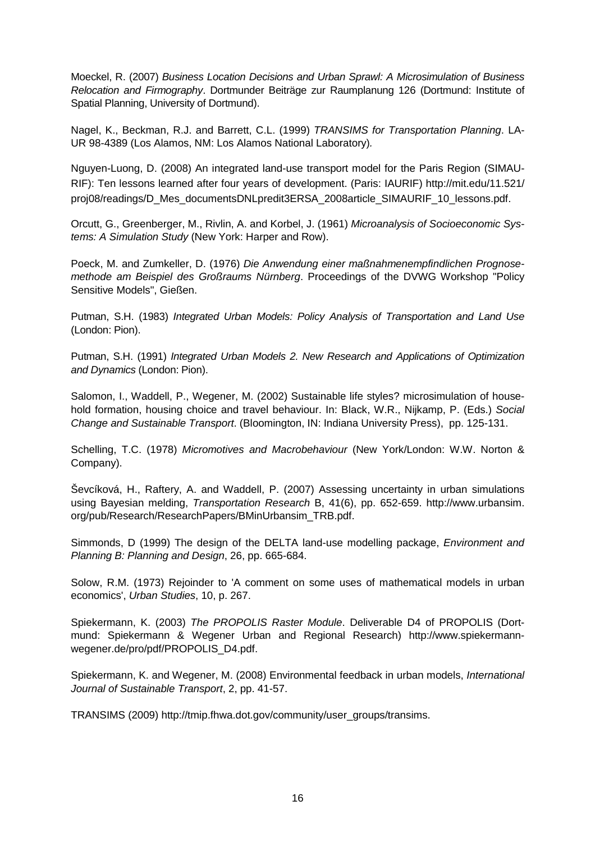Moeckel, R. (2007) Business Location Decisions and Urban Sprawl: A Microsimulation of Business Relocation and Firmography. Dortmunder Beiträge zur Raumplanung 126 (Dortmund: Institute of Spatial Planning, University of Dortmund).

Nagel, K., Beckman, R.J. and Barrett, C.L. (1999) TRANSIMS for Transportation Planning, LA-UR 98-4389 (Los Alamos, NM: Los Alamos National Laboratory).

Nguyen-Luong, D. (2008) An integrated land-use transport model for the Paris Region (SIMAU-RIF): Ten lessons learned after four years of development. (Paris: IAURIF) http://mit.edu/11.521/ proj08/readings/D\_Mes\_documentsDNLpredit3ERSA\_2008article\_SIMAURIF\_10\_lessons.pdf.

Orcutt, G., Greenberger, M., Rivlin, A. and Korbel, J. (1961) Microanalysis of Socioeconomic Systems: A Simulation Study (New York: Harper and Row).

Poeck, M. and Zumkeller, D. (1976) Die Anwendung einer maßnahmenempfindlichen Prognosemethode am Beispiel des Großraums Nürnberg. Proceedings of the DVWG Workshop "Policy Sensitive Models", Gießen.

Putman, S.H. (1983) Integrated Urban Models: Policy Analysis of Transportation and Land Use (London: Pion).

Putman, S.H. (1991) Integrated Urban Models 2. New Research and Applications of Optimization and Dynamics (London: Pion).

Salomon, I., Waddell, P., Wegener, M. (2002) Sustainable life styles? microsimulation of household formation, housing choice and travel behaviour. In: Black, W.R., Nijkamp, P. (Eds.) Social Change and Sustainable Transport. (Bloomington, IN: Indiana University Press), pp. 125-131.

Schelling, T.C. (1978) Micromotives and Macrobehaviour (New York/London: W.W. Norton & Company).

Ševcíková, H., Raftery, A. and Waddell, P. (2007) Assessing uncertainty in urban simulations using Bayesian melding, Transportation Research B, 41(6), pp. 652-659. http://www.urbansim. org/pub/Research/ResearchPapers/BMinUrbansim\_TRB.pdf.

Simmonds, D (1999) The design of the DELTA land-use modelling package, Environment and Planning B: Planning and Design, 26, pp. 665-684.

Solow, R.M. (1973) Rejoinder to 'A comment on some uses of mathematical models in urban economics', Urban Studies, 10, p. 267.

Spiekermann, K. (2003) The PROPOLIS Raster Module. Deliverable D4 of PROPOLIS (Dortmund: Spiekermann & Wegener Urban and Regional Research) http://www.spiekermannwegener.de/pro/pdf/PROPOLIS\_D4.pdf.

Spiekermann, K. and Wegener, M. (2008) Environmental feedback in urban models, International Journal of Sustainable Transport, 2, pp. 41-57.

TRANSIMS (2009) http://tmip.fhwa.dot.gov/community/user\_groups/transims.